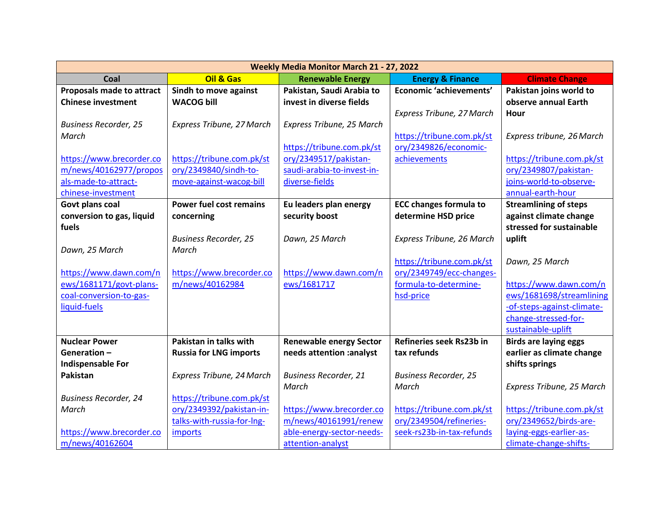| Weekly Media Monitor March 21 - 27, 2022    |                                |                                                   |                                                      |                                                   |  |
|---------------------------------------------|--------------------------------|---------------------------------------------------|------------------------------------------------------|---------------------------------------------------|--|
| Coal                                        | Oil & Gas                      | <b>Renewable Energy</b>                           | <b>Energy &amp; Finance</b>                          | <b>Climate Change</b>                             |  |
| Proposals made to attract                   | Sindh to move against          | Pakistan, Saudi Arabia to                         | Economic 'achievements'                              | Pakistan joins world to                           |  |
| <b>Chinese investment</b>                   | <b>WACOG bill</b>              | invest in diverse fields                          |                                                      | observe annual Earth                              |  |
|                                             |                                |                                                   | Express Tribune, 27 March                            | Hour                                              |  |
| <b>Business Recorder, 25</b>                | Express Tribune, 27 March      | Express Tribune, 25 March                         |                                                      |                                                   |  |
| March                                       |                                |                                                   | https://tribune.com.pk/st                            | Express tribune, 26 March                         |  |
|                                             |                                | https://tribune.com.pk/st                         | ory/2349826/economic-                                |                                                   |  |
| https://www.brecorder.co                    | https://tribune.com.pk/st      | ory/2349517/pakistan-                             | achievements                                         | https://tribune.com.pk/st                         |  |
| m/news/40162977/propos                      | ory/2349840/sindh-to-          | saudi-arabia-to-invest-in-                        |                                                      | ory/2349807/pakistan-                             |  |
| als-made-to-attract-                        | move-against-wacog-bill        | diverse-fields                                    |                                                      | joins-world-to-observe-                           |  |
| chinese-investment                          |                                |                                                   |                                                      | annual-earth-hour                                 |  |
| Govt plans coal                             | <b>Power fuel cost remains</b> | Eu leaders plan energy                            | <b>ECC changes formula to</b>                        | <b>Streamlining of steps</b>                      |  |
| conversion to gas, liquid                   | concerning                     | security boost                                    | determine HSD price                                  | against climate change                            |  |
| fuels                                       |                                |                                                   |                                                      | stressed for sustainable                          |  |
|                                             | <b>Business Recorder, 25</b>   | Dawn, 25 March                                    | Express Tribune, 26 March                            | uplift                                            |  |
| Dawn, 25 March                              | March                          |                                                   |                                                      |                                                   |  |
|                                             |                                |                                                   | https://tribune.com.pk/st                            | Dawn, 25 March                                    |  |
| https://www.dawn.com/n                      | https://www.brecorder.co       | https://www.dawn.com/n                            | ory/2349749/ecc-changes-                             |                                                   |  |
| ews/1681171/govt-plans-                     | m/news/40162984                | ews/1681717                                       | formula-to-determine-                                | https://www.dawn.com/n                            |  |
| coal-conversion-to-gas-                     |                                |                                                   | hsd-price                                            | ews/1681698/streamlining                          |  |
| liquid-fuels                                |                                |                                                   |                                                      | -of-steps-against-climate-                        |  |
|                                             |                                |                                                   |                                                      | change-stressed-for-                              |  |
|                                             |                                |                                                   |                                                      | sustainable-uplift                                |  |
| <b>Nuclear Power</b>                        | Pakistan in talks with         | <b>Renewable energy Sector</b>                    | Refineries seek Rs23b in                             | <b>Birds are laying eggs</b>                      |  |
| Generation-                                 | <b>Russia for LNG imports</b>  | needs attention :analyst                          | tax refunds                                          | earlier as climate change                         |  |
| <b>Indispensable For</b><br><b>Pakistan</b> |                                |                                                   |                                                      | shifts springs                                    |  |
|                                             | Express Tribune, 24 March      | <b>Business Recorder, 21</b>                      | <b>Business Recorder, 25</b>                         |                                                   |  |
|                                             |                                | March                                             | March                                                | Express Tribune, 25 March                         |  |
| <b>Business Recorder, 24</b>                | https://tribune.com.pk/st      |                                                   |                                                      |                                                   |  |
| March                                       | ory/2349392/pakistan-in-       | https://www.brecorder.co<br>m/news/40161991/renew | https://tribune.com.pk/st<br>ory/2349504/refineries- | https://tribune.com.pk/st                         |  |
| https://www.brecorder.co                    | talks-with-russia-for-lng-     |                                                   | seek-rs23b-in-tax-refunds                            | ory/2349652/birds-are-<br>laying-eggs-earlier-as- |  |
|                                             | imports                        | able-energy-sector-needs-                         |                                                      |                                                   |  |
| m/news/40162604                             |                                | attention-analyst                                 |                                                      | climate-change-shifts-                            |  |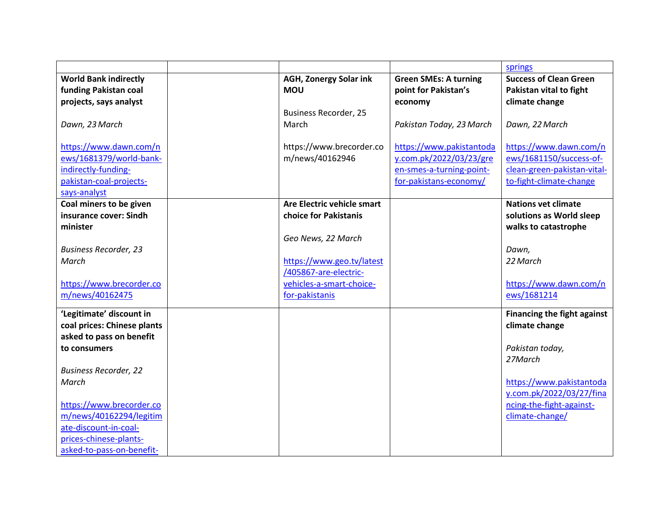|                                                   |                                             |                                                    | springs                                           |
|---------------------------------------------------|---------------------------------------------|----------------------------------------------------|---------------------------------------------------|
| <b>World Bank indirectly</b>                      | <b>AGH, Zonergy Solar ink</b>               | <b>Green SMEs: A turning</b>                       | <b>Success of Clean Green</b>                     |
| funding Pakistan coal                             | <b>MOU</b>                                  | point for Pakistan's                               | Pakistan vital to fight                           |
| projects, says analyst                            |                                             | economy                                            | climate change                                    |
|                                                   | <b>Business Recorder, 25</b>                |                                                    |                                                   |
| Dawn, 23 March                                    | March                                       | Pakistan Today, 23 March                           | Dawn, 22 March                                    |
|                                                   |                                             |                                                    |                                                   |
| https://www.dawn.com/n<br>ews/1681379/world-bank- | https://www.brecorder.co<br>m/news/40162946 | https://www.pakistantoda                           | https://www.dawn.com/n<br>ews/1681150/success-of- |
| indirectly-funding-                               |                                             | y.com.pk/2022/03/23/gre                            | clean-green-pakistan-vital-                       |
| pakistan-coal-projects-                           |                                             | en-smes-a-turning-point-<br>for-pakistans-economy/ | to-fight-climate-change                           |
| says-analyst                                      |                                             |                                                    |                                                   |
| Coal miners to be given                           | Are Electric vehicle smart                  |                                                    | <b>Nations vet climate</b>                        |
| insurance cover: Sindh                            | choice for Pakistanis                       |                                                    | solutions as World sleep                          |
| minister                                          |                                             |                                                    | walks to catastrophe                              |
|                                                   | Geo News, 22 March                          |                                                    |                                                   |
| <b>Business Recorder, 23</b>                      |                                             |                                                    | Dawn,                                             |
| March                                             | https://www.geo.tv/latest                   |                                                    | 22 March                                          |
|                                                   | /405867-are-electric-                       |                                                    |                                                   |
| https://www.brecorder.co                          | vehicles-a-smart-choice-                    |                                                    | https://www.dawn.com/n                            |
| m/news/40162475                                   | for-pakistanis                              |                                                    | ews/1681214                                       |
| 'Legitimate' discount in                          |                                             |                                                    | <b>Financing the fight against</b>                |
|                                                   |                                             |                                                    |                                                   |
| coal prices: Chinese plants                       |                                             |                                                    | climate change                                    |
| asked to pass on benefit                          |                                             |                                                    |                                                   |
| to consumers                                      |                                             |                                                    | Pakistan today,<br>27March                        |
| <b>Business Recorder, 22</b>                      |                                             |                                                    |                                                   |
| March                                             |                                             |                                                    | https://www.pakistantoda                          |
|                                                   |                                             |                                                    | y.com.pk/2022/03/27/fina                          |
| https://www.brecorder.co                          |                                             |                                                    | ncing-the-fight-against-                          |
| m/news/40162294/legitim                           |                                             |                                                    | climate-change/                                   |
| ate-discount-in-coal-                             |                                             |                                                    |                                                   |
| prices-chinese-plants-                            |                                             |                                                    |                                                   |
|                                                   |                                             |                                                    |                                                   |
| asked-to-pass-on-benefit-                         |                                             |                                                    |                                                   |